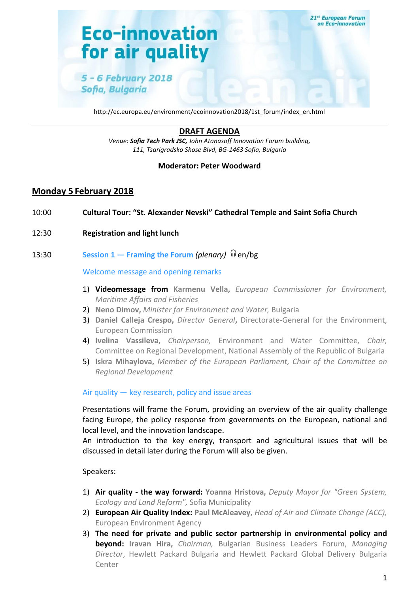

http://ec.europa.eu/environment/ecoinnovation2018/1st\_forum/index\_en.html

# **DRAFT AGENDA**

*Venue: Sofia Tech Park JSC, John Atanasoff Innovation Forum building, 111, Tsarigradsko Shose Blvd, BG-1463 Sofia, Bulgaria*

#### **Moderator: Peter Woodward**

## **Monday 5 February 2018**

- 10:00 **Cultural Tour: "St. Alexander Nevski" Cathedral Temple and Saint Sofia Church**
- 12:30 **Registration and light lunch**

### 13:30 **Session 1 − Framing the Forum (plenary)**  $\theta$  en/bg

#### Welcome message and opening remarks

- 1) **Videomessage from Karmenu Vella,** *European Commissioner for Environment, Maritime Affairs and Fisheries*
- 2) **Neno Dimov,** *Minister for Environment and Water,* Bulgaria
- 3) **Daniel Calleja Crespo,** *Director General***,** Directorate-General for the Environment, European Commission
- 4) **Ivelina Vassileva,** *Chairperson,* Environment and Water Committee*, Chair,*  Committee on Regional Development, National Assembly of the Republic of Bulgaria
- 5) **Iskra Mihaylova,** *Member of the European Parliament, Chair of the Committee on Regional Development*

#### Air quality — key research, policy and issue areas

Presentations will frame the Forum, providing an overview of the air quality challenge facing Europe, the policy response from governments on the European, national and local level, and the innovation landscape.

An introduction to the key energy, transport and agricultural issues that will be discussed in detail later during the Forum will also be given.

#### Speakers:

- 1) **Air quality - the way forward: Yoanna Hristova,** *Deputy Mayor for "Green System, Ecology and Land Reform",* Sofia Municipality
- 2) **European Air Quality Index: Paul McAleavey,** *Head of Air and Climate Change (ACC),*  European Environment Agency
- 3) **The need for private and public sector partnership in environmental policy and beyond: Iravan Hira,** *Chairman,* Bulgarian Business Leaders Forum, *Managing Director*, Hewlett Packard Bulgaria and Hewlett Packard Global Delivery Bulgaria Center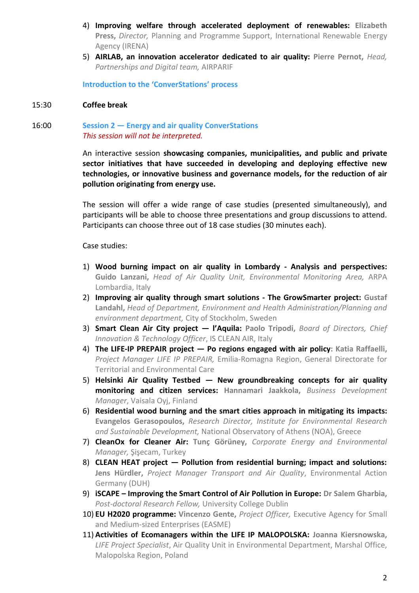- 4) **Improving welfare through accelerated deployment of renewables: Elizabeth Press,** *Director,* Planning and Programme Support, International Renewable Energy Agency (IRENA)
- 5) **AIRLAB, an innovation accelerator dedicated to air quality: Pierre Pernot,** *Head, Partnerships and Digital team,* AIRPARIF

**Introduction to the 'ConverStations' process**

#### 15:30 **Coffee break**

#### 16:00 **Session 2 — Energy and air quality ConverStations** *This session will not be interpreted.*

An interactive session **showcasing companies, municipalities, and public and private sector initiatives that have succeeded in developing and deploying effective new technologies, or innovative business and governance models, for the reduction of air pollution originating from energy use.**

The session will offer a wide range of case studies (presented simultaneously), and participants will be able to choose three presentations and group discussions to attend. Participants can choose three out of 18 case studies (30 minutes each).

Case studies:

- 1) **Wood burning impact on air quality in Lombardy - Analysis and perspectives: Guido Lanzani,** *Head of Air Quality Unit, Environmental Monitoring Area,* ARPA Lombardia, Italy
- 2) **Improving air quality through smart solutions - The GrowSmarter project: Gustaf Landahl,** *Head of Department, Environment and Health Administration/Planning and environment department,* City of Stockholm, Sweden
- 3) **Smart Clean Air City project — l'Aquila: Paolo Tripodi,** *Board of Directors, Chief Innovation & Technology Officer*, IS CLEAN AIR, Italy
- 4) **The LIFE-IP PREPAIR project — Po regions engaged with air policy: Katia Raffaelli,**  *Project Manager LIFE IP PREPAIR,* Emilia-Romagna Region, General Directorate for Territorial and Environmental Care
- 5) **Helsinki Air Quality Testbed — New groundbreaking concepts for air quality monitoring and citizen services: Hannamari Jaakkola,** *Business Development Manager*, Vaisala Oyj, Finland
- 6) **Residential wood burning and the smart cities approach in mitigating its impacts: Evangelos Gerasopoulos,** *Research Director, Institute for Environmental Research and Sustainable Development,* National Observatory of Athens (NOA), Greece
- 7) **CleanOx for Cleaner Air: Tunç Görüney,** *Corporate Energy and Environmental Manager,* Şişecam, Turkey
- 8) **CLEAN HEAT project — Pollution from residential burning; impact and solutions: Jens Hürdler,** *Project Manager Transport and Air Quality*, Environmental Action Germany (DUH)
- 9) **iSCAPE – Improving the Smart Control of Air Pollution in Europe: Dr Salem Gharbia,**  *Post-doctoral Research Fellow,* University College Dublin
- 10) **EU H2020 programme: Vincenzo Gente,** *Project Officer,* Executive Agency for Small and Medium-sized Enterprises (EASME)
- 11) **Activities of Ecomanagers within the LIFE IP MALOPOLSKA: Joanna Kiersnowska,**  *LIFE Project Specialist*, Air Quality Unit in Environmental Department, Marshal Office, Malopolska Region, Poland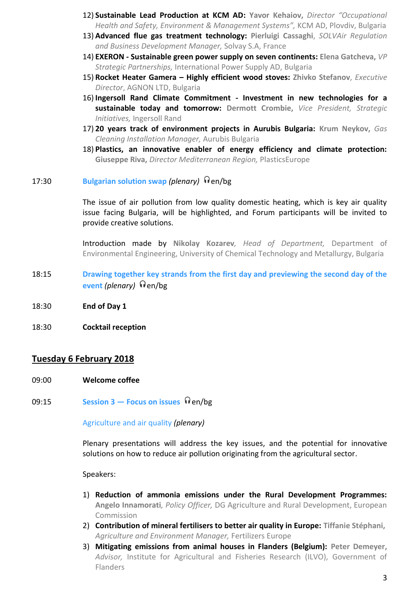- 12) **Sustainable Lead Production at KCM AD: Yavor Kehaiov,** *Director "Occupational Health and Safety, Environment & Management Systems",* KCM AD, Plovdiv, Bulgaria
- 13) **Advanced flue gas treatment technology: Pierluigi Cassaghi**, *SOLVAir Regulation and Business Development Manager,* Solvay S.A, France
- 14) **EXERON - Sustainable green power supply on seven continents: Elena Gatcheva,** *VP Strategic Partnerships,* International Power Supply AD, Bulgaria
- 15) **Rocket Heater Gamera – Highly efficient wood stoves: Zhivko Stefanov**, *Executive Director*, AGNON LTD, Bulgaria
- 16) **Ingersoll Rand Climate Commitment - Investment in new technologies for a sustainable today and tomorrow: Dermott Crombie,** *Vice President, Strategic Initiatives,* Ingersoll Rand
- 17) **20 years track of environment projects in Aurubis Bulgaria: Krum Neykov,** *Gas Cleaning Installation Manager,* Aurubis Bulgaria
- 18) **Plastics, an innovative enabler of energy efficiency and climate protection: Giuseppe Riva,** *Director Mediterranean Region,* PlasticsEurope
- 17:30 **Bulgarian solution swap (plenary) P**en/bg

The issue of air pollution from low quality domestic heating, which is key air quality issue facing Bulgaria, will be highlighted, and Forum participants will be invited to provide creative solutions.

Introduction made by **Nikolay Kozarev***, Head of Department,* Department of Environmental Engineering, University of Chemical Technology and Metallurgy, Bulgaria

- 18:15 **Drawing together key strands from the first day and previewing the second day of the event** *(plenary) e*<sub>en</sub>/bg
- 18:30 **End of Day 1**
- 18:30 **Cocktail reception**

### **Tuesday 6 February 2018**

- 09:00 **Welcome coffee**
- **09:15** Session 3 − Focus on issues  $\Theta$  en/bg

#### Agriculture and air quality *(plenary)*

Plenary presentations will address the key issues, and the potential for innovative solutions on how to reduce air pollution originating from the agricultural sector.

Speakers:

- 1) **Reduction of ammonia emissions under the Rural Development Programmes: Angelo Innamorati***, Policy Officer,* DG Agriculture and Rural Development, European Commission
- 2) **Contribution of mineral fertilisers to better air quality in Europe: Tiffanie Stéphani,**  *Agriculture and Environment Manager,* Fertilizers Europe
- 3) **Mitigating emissions from animal houses in Flanders (Belgium): Peter Demeyer,** *Advisor,* Institute for Agricultural and Fisheries Research (ILVO), Government of Flanders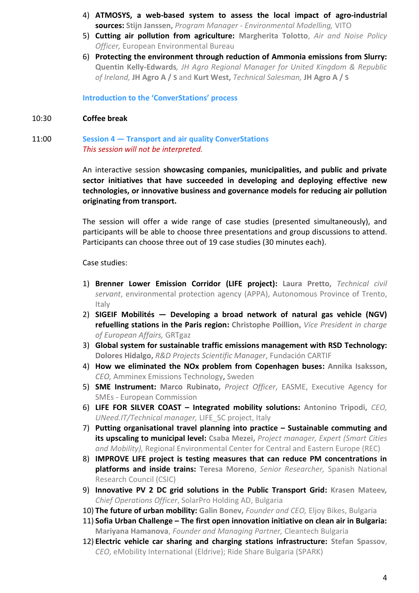- 4) **ATMOSYS, a web-based system to assess the local impact of agro-industrial sources: Stijn Janssen,** *Program Manager - Environmental Modelling,* VITO
- 5) **Cutting air pollution from agriculture: Margherita Tolotto**, *Air and Noise Policy Officer,* European Environmental Bureau
- 6) **Protecting the environment through reduction of Ammonia emissions from Slurry: Quentin Kelly-Edwards***, JH Agro Regional Manager for United Kingdom & Republic of Ireland,* **JH Agro A / S** and **Kurt West,** *Technical Salesman,* **JH Agro A / S**

**Introduction to the 'ConverStations' process**

#### 10:30 **Coffee break**

#### 11:00 **Session 4 — Transport and air quality ConverStations** *This session will not be interpreted.*

An interactive session **showcasing companies, municipalities, and public and private sector initiatives that have succeeded in developing and deploying effective new technologies, or innovative business and governance models for reducing air pollution originating from transport.**

The session will offer a wide range of case studies (presented simultaneously), and participants will be able to choose three presentations and group discussions to attend. Participants can choose three out of 19 case studies (30 minutes each).

Case studies:

- 1) **Brenner Lower Emission Corridor (LIFE project): Laura Pretto,** *Technical civil servant*, environmental protection agency (APPA), Autonomous Province of Trento, Italy
- 2) **SIGEIF Mobilités — Developing a broad network of natural gas vehicle (NGV) refuelling stations in the Paris region: Christophe Poillion,** *Vice President in charge of European Affairs,* GRTgaz
- 3) **Global system for sustainable traffic emissions management with RSD Technology: Dolores Hidalgo,** *R&D Projects Scientific Manager*, Fundación CARTIF
- 4) **How we eliminated the NOx problem from Copenhagen buses: Annika Isaksson,** *CEO,* Amminex Emissions Technology, Sweden
- 5) **SME Instrument: Marco Rubinato,** *Project Officer*, EASME, Executive Agency for SMEs - European Commission
- 6) **LIFE FOR SILVER COAST – Integrated mobility solutions: Antonino Tripodi,** *CEO, UNeed.IT/Technical manager,* LIFE\_SC project, Italy
- 7) **Putting organisational travel planning into practice – Sustainable commuting and its upscaling to municipal level: Csaba Mezei,** *Project manager, Expert (Smart Cities and Mobility),* Regional Environmental Center for Central and Eastern Europe (REC)
- 8) **IMPROVE LIFE project is testing measures that can reduce PM concentrations in platforms and inside trains: Teresa Moreno**, *Senior Researcher,* Spanish National Research Council (CSIC)
- 9) **Innovative PV 2 DC grid solutions in the Public Transport Grid: Krasen Mateev***, Chief Operations Officer*, SolarPro Holding AD, Bulgaria
- 10) **The future of urban mobility: Galin Bonev,** *Founder and CEO,* Eljoy Bikes, Bulgaria
- 11) **Sofia Urban Challenge – The first open innovation initiative on clean air in Bulgaria: Mariyana Hamanova**, *Founder and Managing Partner,* Cleantech Bulgaria
- 12) **Electric vehicle car sharing and charging stations infrastructure: Stefan Spassov**, *CEO*, eMobility International (Eldrive); Ride Share Bulgaria (SPARK)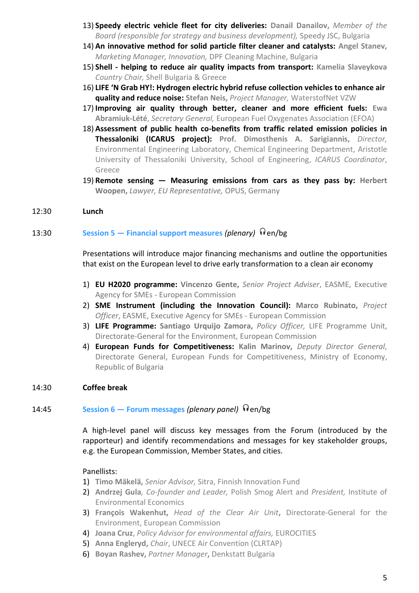- 13) **Speedy electric vehicle fleet for city deliveries: Danail Danailov,** *Member of the Board (responsible for strategy and business development),* Speedy JSC, Bulgaria
- 14) **An innovative method for solid particle filter cleaner and catalysts: Angel Stanev,** *Marketing Manager, Innovation,* DPF Cleaning Machine, Bulgaria
- 15) **Shell - helping to reduce air quality impacts from transport: Kamelia Slaveykova** *Country Chair,* Shell Bulgaria & Greece
- 16) **LIFE 'N Grab HY!: Hydrogen electric hybrid refuse collection vehicles to enhance air quality and reduce noise: Stefan Neis,** *Project Manager,* WaterstofNet VZW
- 17) **Improving air quality through better, cleaner and more efficient fuels: Ewa Abramiuk-Lété**, *Secretary General,* European Fuel Oxygenates Association (EFOA)
- 18) **Assessment of public health co-benefits from traffic related emission policies in Thessaloniki (ICARUS project): Prof. Dimosthenis A. Sarigiannis,** *Director,* Environmental Engineering Laboratory, Chemical Engineering Department, Aristotle University of Thessaloniki University, School of Engineering, *ICARUS Coordinator*, Greece
- 19) **Remote sensing — Measuring emissions from cars as they pass by: Herbert Woopen,** *Lawyer, EU Representative,* OPUS, Germany

#### 12:30 **Lunch**

# 13:30 **Session 5** − **Financial support measures** (plenary) **D**en/bg

Presentations will introduce major financing mechanisms and outline the opportunities that exist on the European level to drive early transformation to a clean air economy

- 1) **EU H2020 programme: Vincenzo Gente,** *Senior Project Adviser*, EASME, Executive Agency for SMEs - European Commission
- 2) **SME Instrument (including the Innovation Council): Marco Rubinato,** *Project Officer*, EASME, Executive Agency for SMEs - European Commission
- 3) **LIFE Programme: Santiago Urquijo Zamora,** *Policy Officer,* LIFE Programme Unit, Directorate-General for the Environment, European Commission
- 4) **European Funds for Competitiveness: Kalin Marinov,** *Deputy Director General*, Directorate General, European Funds for Competitiveness, Ministry of Economy, Republic of Bulgaria

#### 14:30 **Coffee break**

#### 14:45 **Session 6 – Forum messages (plenary panel) D**en/bg

A high-level panel will discuss key messages from the Forum (introduced by the rapporteur) and identify recommendations and messages for key stakeholder groups, e.g. the European Commission, Member States, and cities.

#### Panellists:

- 1) **Timo Mäkelä,** *Senior Advisor,* Sitra, Finnish Innovation Fund
- 2) **Andrzej Gula***, Co-founder and Leader,* Polish Smog Alert and *President,* Institute of Environmental Economics
- 3) **François Wakenhut,** *Head of the Clear Air Unit***,** Directorate-General for the Environment, European Commission
- 4) **Joana Cruz**, *Policy Advisor for environmental affairs,* EUROCITIES
- 5) **Anna Engleryd,** *Chair*, UNECE Air Convention (CLRTAP)
- 6) **Boyan Rashev,** *Partner Manager***,** Denkstatt Bulgaria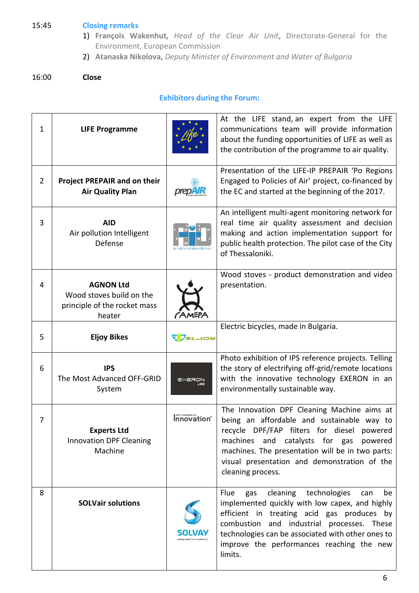# 15:45 **Closing remarks**

- 1) **François Wakenhut,** *Head of the Clear Air Unit***,** Directorate-General for the Environment, European Commission
- 2) **Atanaska Nikolova,** *Deputy Minister of Environment and Water of Bulgaria*

#### 16:00 **Close**

# **Exhibitors during the Forum:**

| 1              | <b>LIFE Programme</b>                                                                  |                     | At the LIFE stand, an expert from the LIFE<br>communications team will provide information<br>about the funding opportunities of LIFE as well as<br>the contribution of the programme to air quality.                                                                                                         |
|----------------|----------------------------------------------------------------------------------------|---------------------|---------------------------------------------------------------------------------------------------------------------------------------------------------------------------------------------------------------------------------------------------------------------------------------------------------------|
| $\overline{2}$ | <b>Project PREPAIR and on their</b><br><b>Air Quality Plan</b>                         | <b>prepAIR</b>      | Presentation of the LIFE-IP PREPAIR 'Po Regions<br>Engaged to Policies of Air' project, co-financed by<br>the EC and started at the beginning of the 2017.                                                                                                                                                    |
| 3              | <b>AID</b><br>Air pollution Intelligent<br>Defense                                     |                     | An intelligent multi-agent monitoring network for<br>real time air quality assessment and decision<br>making and action implementation support for<br>public health protection. The pilot case of the City<br>of Thessaloniki.                                                                                |
| 4              | <b>AGNON Ltd</b><br>Wood stoves build on the<br>principle of the rocket mass<br>heater | CAMEPA              | Wood stoves - product demonstration and video<br>presentation.                                                                                                                                                                                                                                                |
| 5              | <b>Eljoy Bikes</b>                                                                     | VVELJOS             | Electric bicycles, made in Bulgaria.                                                                                                                                                                                                                                                                          |
| 6              | <b>IPS</b><br>The Most Advanced OFF-GRID<br>System                                     |                     | Photo exhibition of IPS reference projects. Telling<br>the story of electrifying off-grid/remote locations<br>with the innovative technology EXERON in an<br>environmentally sustainable way.                                                                                                                 |
| 7              | <b>Experts Ltd</b><br><b>Innovation DPF Cleaning</b><br>Machine                        | <b>Innovation</b> ® | The Innovation DPF Cleaning Machine aims at<br>being an affordable and sustainable way to<br>recycle DPF/FAP filters for diesel powered<br>machines and catalysts for gas<br>powered<br>machines. The presentation will be in two parts:<br>visual presentation and demonstration of the<br>cleaning process. |
| 8              | <b>SOLVair solutions</b>                                                               |                     | cleaning technologies<br>Flue<br>be<br>gas<br>can<br>implemented quickly with low capex, and highly<br>efficient in treating acid gas produces by<br>combustion and industrial processes. These<br>technologies can be associated with other ones to<br>improve the performances reaching the new<br>limits.  |